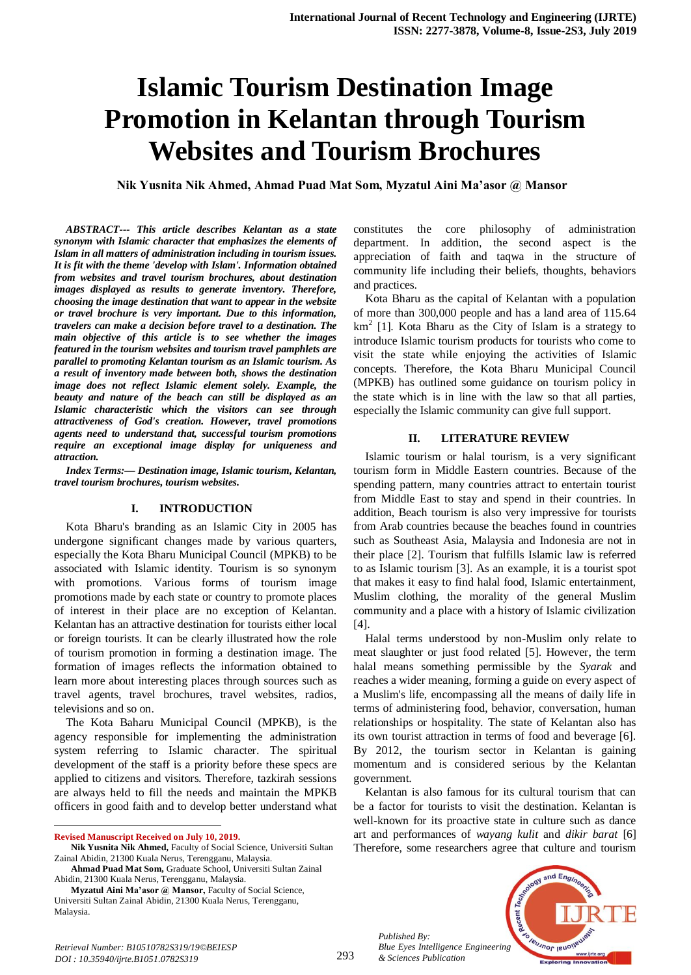# **Islamic Tourism Destination Image Promotion in Kelantan through Tourism Websites and Tourism Brochures**

**Nik Yusnita Nik Ahmed, Ahmad Puad Mat Som, Myzatul Aini Ma'asor @ Mansor**

*ABSTRACT--- This article describes Kelantan as a state synonym with Islamic character that emphasizes the elements of Islam in all matters of administration including in tourism issues. It is fit with the theme 'develop with Islam'. Information obtained from websites and travel tourism brochures, about destination images displayed as results to generate inventory. Therefore, choosing the image destination that want to appear in the website or travel brochure is very important. Due to this information, travelers can make a decision before travel to a destination. The main objective of this article is to see whether the images featured in the tourism websites and tourism travel pamphlets are parallel to promoting Kelantan tourism as an Islamic tourism. As a result of inventory made between both, shows the destination image does not reflect Islamic element solely. Example, the beauty and nature of the beach can still be displayed as an Islamic characteristic which the visitors can see through attractiveness of God's creation. However, travel promotions agents need to understand that, successful tourism promotions require an exceptional image display for uniqueness and attraction.*

*Index Terms:— Destination image, Islamic tourism, Kelantan, travel tourism brochures, tourism websites.*

#### **I. INTRODUCTION**

Kota Bharu's branding as an Islamic City in 2005 has undergone significant changes made by various quarters, especially the Kota Bharu Municipal Council (MPKB) to be associated with Islamic identity. Tourism is so synonym with promotions. Various forms of tourism image promotions made by each state or country to promote places of interest in their place are no exception of Kelantan. Kelantan has an attractive destination for tourists either local or foreign tourists. It can be clearly illustrated how the role of tourism promotion in forming a destination image. The formation of images reflects the information obtained to learn more about interesting places through sources such as travel agents, travel brochures, travel websites, radios, televisions and so on.

The Kota Baharu Municipal Council (MPKB), is the agency responsible for implementing the administration system referring to Islamic character. The spiritual development of the staff is a priority before these specs are applied to citizens and visitors. Therefore, tazkirah sessions are always held to fill the needs and maintain the MPKB officers in good faith and to develop better understand what

**Revised Manuscript Received on July 10, 2019.**

 $\overline{a}$ 

constitutes the core philosophy of administration department. In addition, the second aspect is the appreciation of faith and taqwa in the structure of community life including their beliefs, thoughts, behaviors and practices.

Kota Bharu as the capital of Kelantan with a population of more than 300,000 people and has a land area of 115.64  $km<sup>2</sup>$  [1]. Kota Bharu as the City of Islam is a strategy to introduce Islamic tourism products for tourists who come to visit the state while enjoying the activities of Islamic concepts. Therefore, the Kota Bharu Municipal Council (MPKB) has outlined some guidance on tourism policy in the state which is in line with the law so that all parties, especially the Islamic community can give full support.

#### **II. LITERATURE REVIEW**

Islamic tourism or halal tourism, is a very significant tourism form in Middle Eastern countries. Because of the spending pattern, many countries attract to entertain tourist from Middle East to stay and spend in their countries. In addition, Beach tourism is also very impressive for tourists from Arab countries because the beaches found in countries such as Southeast Asia, Malaysia and Indonesia are not in their place [2]. Tourism that fulfills Islamic law is referred to as Islamic tourism [3]. As an example, it is a tourist spot that makes it easy to find halal food, Islamic entertainment, Muslim clothing, the morality of the general Muslim community and a place with a history of Islamic civilization [4].

Halal terms understood by non-Muslim only relate to meat slaughter or just food related [5]. However, the term halal means something permissible by the *Syarak* and reaches a wider meaning, forming a guide on every aspect of a Muslim's life, encompassing all the means of daily life in terms of administering food, behavior, conversation, human relationships or hospitality. The state of Kelantan also has its own tourist attraction in terms of food and beverage [6]. By 2012, the tourism sector in Kelantan is gaining momentum and is considered serious by the Kelantan government.

Kelantan is also famous for its cultural tourism that can be a factor for tourists to visit the destination. Kelantan is well-known for its proactive state in culture such as dance art and performances of *wayang kulit* and *dikir barat* [6] Therefore, some researchers agree that culture and tourism

*Published By: Blue Eyes Intelligence Engineering & Sciences Publication* 



**Nik Yusnita Nik Ahmed,** Faculty of Social Science, Universiti Sultan Zainal Abidin, 21300 Kuala Nerus, Terengganu, Malaysia.

**Ahmad Puad Mat Som,** Graduate School, Universiti Sultan Zainal Abidin, 21300 Kuala Nerus, Terengganu, Malaysia.

**Myzatul Aini Ma'asor @ Mansor,** Faculty of Social Science, Universiti Sultan Zainal Abidin, 21300 Kuala Nerus, Terengganu, Malaysia.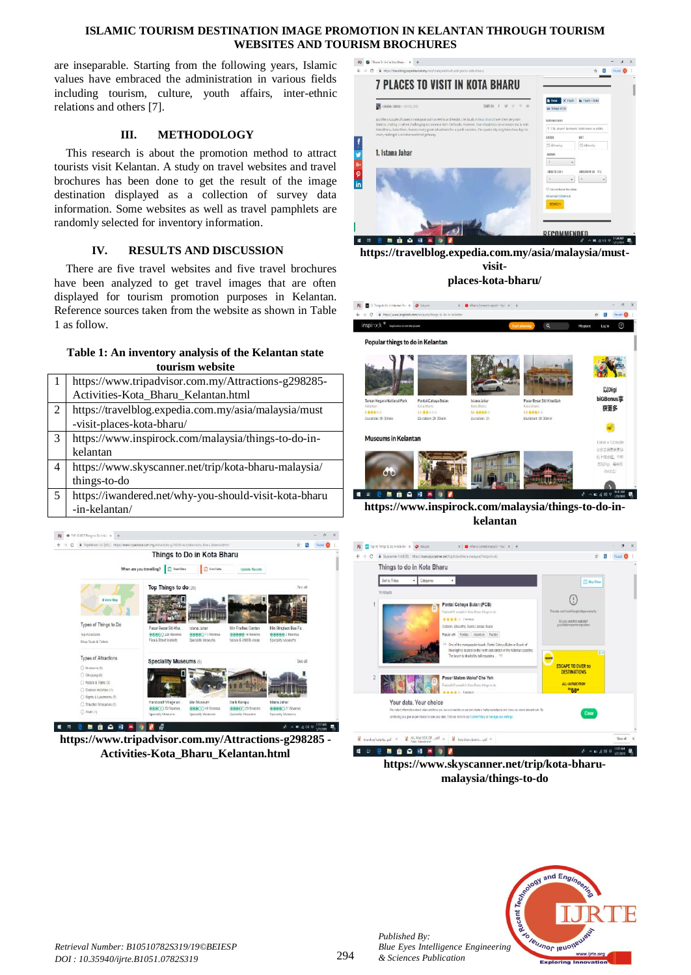#### **ISLAMIC TOURISM DESTINATION IMAGE PROMOTION IN KELANTAN THROUGH TOURISM WEBSITES AND TOURISM BROCHURES**

are inseparable. Starting from the following years, Islamic values have embraced the administration in various fields including tourism, culture, youth affairs, inter-ethnic relations and others [7].

# **III. METHODOLOGY**

This research is about the promotion method to attract tourists visit Kelantan. A study on travel websites and travel brochures has been done to get the result of the image destination displayed as a collection of survey data information. Some websites as well as travel pamphlets are randomly selected for inventory information.

## **IV. RESULTS AND DISCUSSION**

There are five travel websites and five travel brochures have been analyzed to get travel images that are often displayed for tourism promotion purposes in Kelantan. Reference sources taken from the website as shown in Table 1 as follow.

## **Table 1: An inventory analysis of the Kelantan state tourism website**

|   | https://www.tripadvisor.com.my/Attractions-g298285-   |
|---|-------------------------------------------------------|
|   | Activities-Kota_Bharu_Kelantan.html                   |
| 2 | https://travelblog.expedia.com.my/asia/malaysia/must  |
|   | -visit-places-kota-bharu/                             |
| 3 | https://www.inspirock.com/malaysia/things-to-do-in-   |
|   | kelantan                                              |
| 4 | https://www.skyscanner.net/trip/kota-bharu-malaysia/  |
|   | things-to-do                                          |
| 5 | https://iwandered.net/why-you-should-visit-kota-bharu |
|   | -in-kelantan/                                         |



**https://www.tripadvisor.com.my/Attractions-g298285 - Activities-Kota\_Bharu\_Kelantan.html**



**https://travelblog.expedia.com.my/asia/malaysia/mustvisitplaces-kota-bharu/**



**https://www.inspirock.com/malaysia/things-to-do-inkelantan**



**https://www.skyscanner.net/trip/kota-bharumalaysia/things-to-do**



*Published By:*

*& Sciences Publication*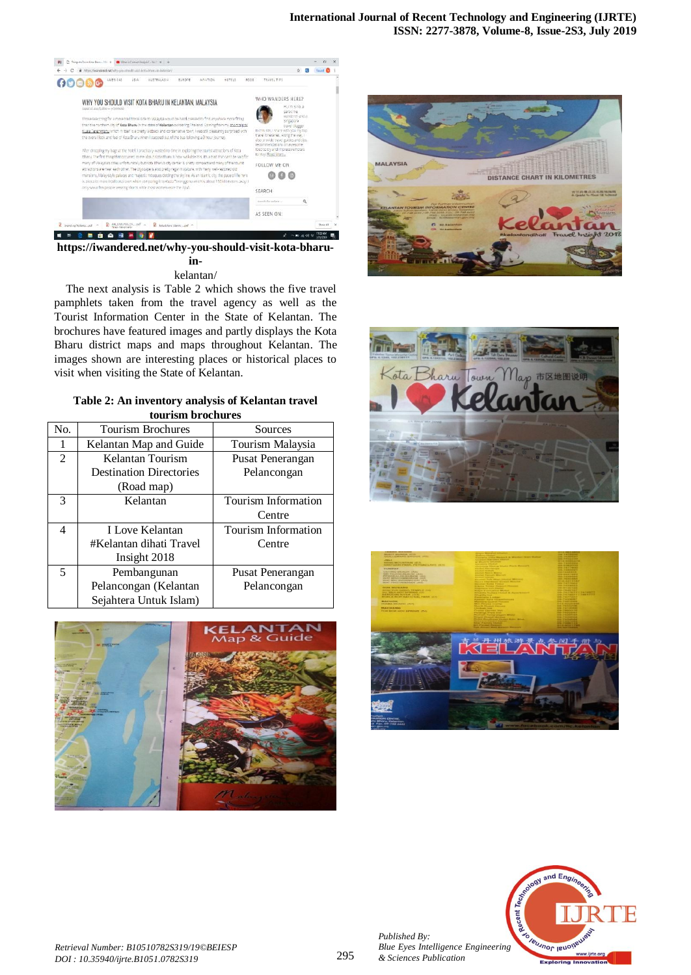

**https://iwandered.net/why-you-should-visit-kota-bharuin-**

### kelantan/

The next analysis is Table 2 which shows the five travel pamphlets taken from the travel agency as well as the Tourist Information Center in the State of Kelantan. The brochures have featured images and partly displays the Kota Bharu district maps and maps throughout Kelantan. The images shown are interesting places or historical places to visit when visiting the State of Kelantan.

**Table 2: An inventory analysis of Kelantan travel tourism brochures**

| tour ism is ochur cs |                                |                     |  |  |  |
|----------------------|--------------------------------|---------------------|--|--|--|
| No.                  | Tourism Brochures              | Sources             |  |  |  |
| 1                    | Kelantan Map and Guide         | Tourism Malaysia    |  |  |  |
| $\mathfrak{D}$       | Kelantan Tourism               | Pusat Penerangan    |  |  |  |
|                      | <b>Destination Directories</b> | Pelancongan         |  |  |  |
|                      | (Road map)                     |                     |  |  |  |
| 3                    | Kelantan                       | Tourism Information |  |  |  |
|                      |                                | Centre              |  |  |  |
| 4                    | <b>I Love Kelantan</b>         | Tourism Information |  |  |  |
|                      | #Kelantan dihati Travel        | Centre              |  |  |  |
|                      | Insight 2018                   |                     |  |  |  |
| 5                    | Pembangunan                    | Pusat Penerangan    |  |  |  |
|                      | Pelancongan (Kelantan          | Pelancongan         |  |  |  |
|                      | Sejahtera Untuk Islam)         |                     |  |  |  |











*Published By:*

*& Sciences Publication*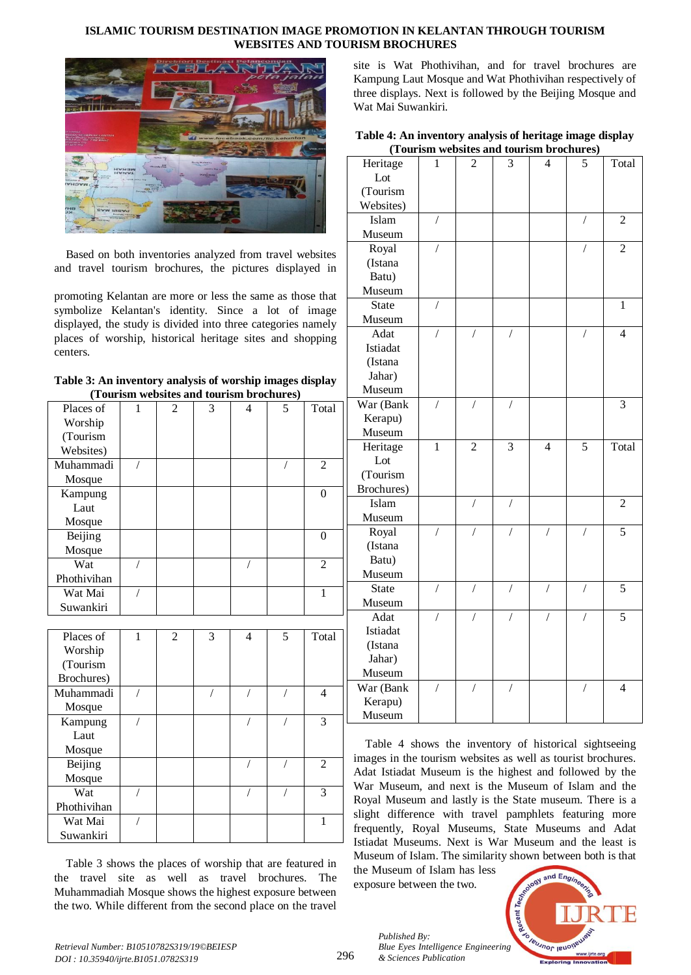#### **ISLAMIC TOURISM DESTINATION IMAGE PROMOTION IN KELANTAN THROUGH TOURISM WEBSITES AND TOURISM BROCHURES**



Based on both inventories analyzed from travel websites and travel tourism brochures, the pictures displayed in

promoting Kelantan are more or less the same as those that symbolize Kelantan's identity. Since a lot of image displayed, the study is divided into three categories namely places of worship, historical heritage sites and shopping centers.

| Table 3: An inventory analysis of worship images display |  |
|----------------------------------------------------------|--|
| (Tourism websites and tourism brochures)                 |  |

|             |   |   |   | <b>ul loin</b> of ochtal co/ |   |                |
|-------------|---|---|---|------------------------------|---|----------------|
| Places of   | 1 | 2 | 3 | $\overline{4}$               | 5 | Total          |
| Worship     |   |   |   |                              |   |                |
| (Tourism    |   |   |   |                              |   |                |
| Websites)   |   |   |   |                              |   |                |
| Muhammadi   |   |   |   |                              |   | 2              |
| Mosque      |   |   |   |                              |   |                |
| Kampung     |   |   |   |                              |   | $\Omega$       |
| Laut        |   |   |   |                              |   |                |
| Mosque      |   |   |   |                              |   |                |
| Beijing     |   |   |   |                              |   | $\Omega$       |
| Mosque      |   |   |   |                              |   |                |
| Wat         |   |   |   |                              |   | $\overline{2}$ |
| Phothivihan |   |   |   |                              |   |                |
| Wat Mai     |   |   |   |                              |   | 1              |
| Suwankiri   |   |   |   |                              |   |                |
|             |   |   |   |                              |   |                |
| Places of   |   | 2 | 3 | 4                            | 5 | Total          |

| Worship     |  |  |                |
|-------------|--|--|----------------|
| (Tourism    |  |  |                |
| Brochures)  |  |  |                |
| Muhammadi   |  |  | 4              |
| Mosque      |  |  |                |
| Kampung     |  |  | 3              |
| Laut        |  |  |                |
| Mosque      |  |  |                |
| Beijing     |  |  | $\overline{c}$ |
| Mosque      |  |  |                |
| Wat         |  |  | 3              |
| Phothivihan |  |  |                |
| Wat Mai     |  |  |                |
| Suwankiri   |  |  |                |

Table 3 shows the places of worship that are featured in the travel site as well as travel brochures. The Muhammadiah Mosque shows the highest exposure between the two. While different from the second place on the travel

site is Wat Phothivihan, and for travel brochures are Kampung Laut Mosque and Wat Phothivihan respectively of three displays. Next is followed by the Beijing Mosque and Wat Mai Suwankiri.

| Table 4: An inventory analysis of heritage image display |
|----------------------------------------------------------|
| (Tourism websites and tourism brochures)                 |

|                   | $(100115111)$ W | сизі<br>59 au  |                | vur isili di v | 11 C.S J       |                |
|-------------------|-----------------|----------------|----------------|----------------|----------------|----------------|
| Heritage          | 1               | $\overline{c}$ | 3              | 4              | 5              | Total          |
| Lot               |                 |                |                |                |                |                |
| (Tourism          |                 |                |                |                |                |                |
| Websites)         |                 |                |                |                |                |                |
| Islam             | $\overline{1}$  |                |                |                | $\sqrt{2}$     | 2              |
| Museum            |                 |                |                |                |                |                |
| Royal             | $\overline{1}$  |                |                |                | $\overline{1}$ | $\overline{2}$ |
| (Istana           |                 |                |                |                |                |                |
| Batu)             |                 |                |                |                |                |                |
| Museum            |                 |                |                |                |                |                |
| <b>State</b>      | $\sqrt{2}$      |                |                |                |                | $\mathbf{1}$   |
| Museum            |                 |                |                |                |                |                |
| Adat              | $\overline{1}$  | $\overline{1}$ |                |                | $\overline{1}$ | $\overline{4}$ |
| Istiadat          |                 |                |                |                |                |                |
| (Istana           |                 |                |                |                |                |                |
| Jahar)            |                 |                |                |                |                |                |
| Museum            |                 |                |                |                |                |                |
| War (Bank         | $\overline{1}$  | $\overline{1}$ |                |                |                | 3              |
| Kerapu)           |                 |                |                |                |                |                |
| Museum            |                 |                |                |                |                |                |
|                   |                 |                |                |                |                |                |
| Heritage          | $\mathbf{1}$    | $\overline{2}$ | 3              | 4              | 5              | Total          |
| Lot               |                 |                |                |                |                |                |
| (Tourism          |                 |                |                |                |                |                |
| Brochures)        |                 |                |                |                |                |                |
| Islam             |                 | $\overline{1}$ | $\overline{1}$ |                |                | $\overline{2}$ |
|                   |                 |                |                |                |                |                |
| Museum            | /               | $\sqrt{2}$     | $\sqrt{2}$     | /              | /              | $\overline{5}$ |
| Royal<br>(Istana  |                 |                |                |                |                |                |
|                   |                 |                |                |                |                |                |
| Batu)<br>Museum   |                 |                |                |                |                |                |
| <b>State</b>      | $\overline{1}$  | $\overline{1}$ | $\overline{1}$ | $\overline{1}$ | $\overline{1}$ | 5              |
| Museum            |                 |                |                |                |                |                |
| Adat              | /               | /              | 7              | 7              | /              | 5              |
| Istiadat          |                 |                |                |                |                |                |
| (Istana           |                 |                |                |                |                |                |
| Jahar)            |                 |                |                |                |                |                |
| Museum            |                 |                |                |                |                |                |
|                   | /               | $\overline{1}$ | $\sqrt{2}$     |                | $\overline{1}$ | $\overline{4}$ |
| War (Bank         |                 |                |                |                |                |                |
| Kerapu)<br>Museum |                 |                |                |                |                |                |

Table 4 shows the inventory of historical sightseeing images in the tourism websites as well as tourist brochures. Adat Istiadat Museum is the highest and followed by the War Museum, and next is the Museum of Islam and the Royal Museum and lastly is the State museum. There is a slight difference with travel pamphlets featuring more frequently, Royal Museums, State Museums and Adat Istiadat Museums. Next is War Museum and the least is Museum of Islam. The similarity shown between both is that

the Museum of Islam has less exposure between the two.

*& Sciences Publication* 

*Published By:*



*Retrieval Number: B10510782S319/19©BEIESP DOI : 10.35940/ijrte.B1051.0782S319*

296